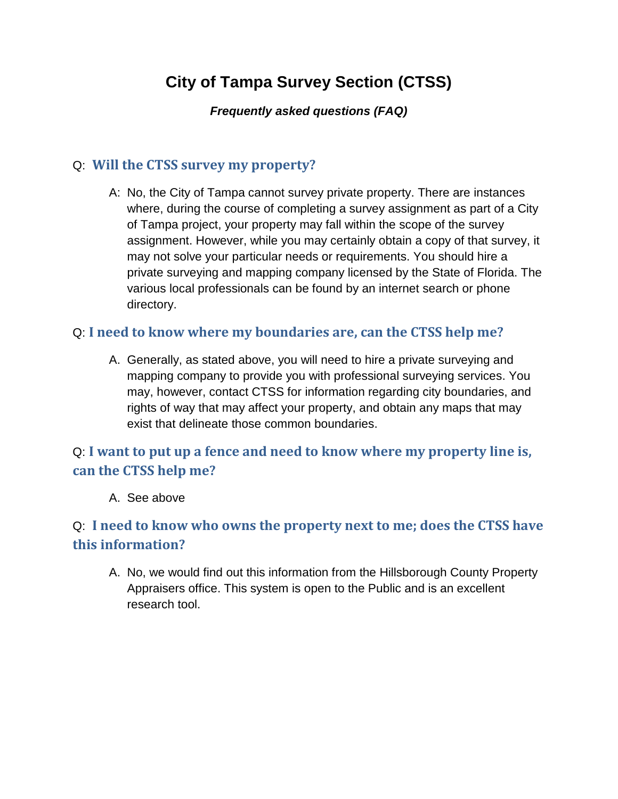# **City of Tampa Survey Section (CTSS)**

#### *Frequently asked questions (FAQ)*

### Q: **Will the CTSS survey my property?**

A: No, the City of Tampa cannot survey private property. There are instances where, during the course of completing a survey assignment as part of a City of Tampa project, your property may fall within the scope of the survey assignment. However, while you may certainly obtain a copy of that survey, it may not solve your particular needs or requirements. You should hire a private surveying and mapping company licensed by the State of Florida. The various local professionals can be found by an internet search or phone directory.

### Q: **I need to know where my boundaries are, can the CTSS help me?**

A. Generally, as stated above, you will need to hire a private surveying and mapping company to provide you with professional surveying services. You may, however, contact CTSS for information regarding city boundaries, and rights of way that may affect your property, and obtain any maps that may exist that delineate those common boundaries.

## Q: **I want to put up a fence and need to know where my property line is, can the CTSS help me?**

A. See above

# Q: **I need to know who owns the property next to me; does the CTSS have this information?**

A. No, we would find out this information from the Hillsborough County Property Appraisers office. This system is open to the Public and is an excellent research tool.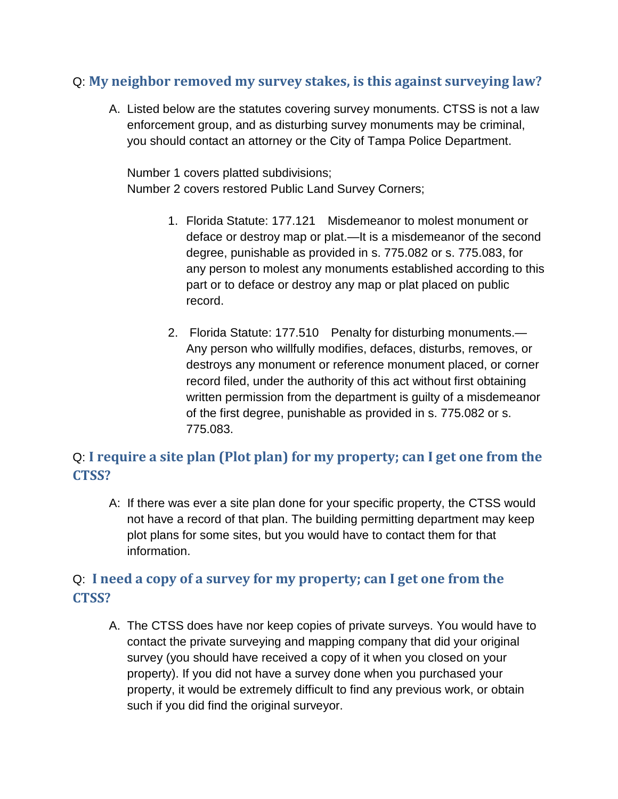### Q: **My neighbor removed my survey stakes, is this against surveying law?**

A. Listed below are the statutes covering survey monuments. CTSS is not a law enforcement group, and as disturbing survey monuments may be criminal, you should contact an attorney or the City of Tampa Police Department.

Number 1 covers platted subdivisions; Number 2 covers restored Public Land Survey Corners;

- 1. Florida Statute: 177.121 Misdemeanor to molest monument or deface or destroy map or plat.—It is a misdemeanor of the second degree, punishable as provided in s. 775.082 or s. 775.083, for any person to molest any monuments established according to this part or to deface or destroy any map or plat placed on public record.
- 2. Florida Statute: 177.510 Penalty for disturbing monuments.— Any person who willfully modifies, defaces, disturbs, removes, or destroys any monument or reference monument placed, or corner record filed, under the authority of this act without first obtaining written permission from the department is guilty of a misdemeanor of the first degree, punishable as provided in s. 775.082 or s. 775.083.

## Q: **I require a site plan (Plot plan) for my property; can I get one from the CTSS?**

A: If there was ever a site plan done for your specific property, the CTSS would not have a record of that plan. The building permitting department may keep plot plans for some sites, but you would have to contact them for that information.

### Q: **I need a copy of a survey for my property; can I get one from the CTSS?**

A. The CTSS does have nor keep copies of private surveys. You would have to contact the private surveying and mapping company that did your original survey (you should have received a copy of it when you closed on your property). If you did not have a survey done when you purchased your property, it would be extremely difficult to find any previous work, or obtain such if you did find the original surveyor.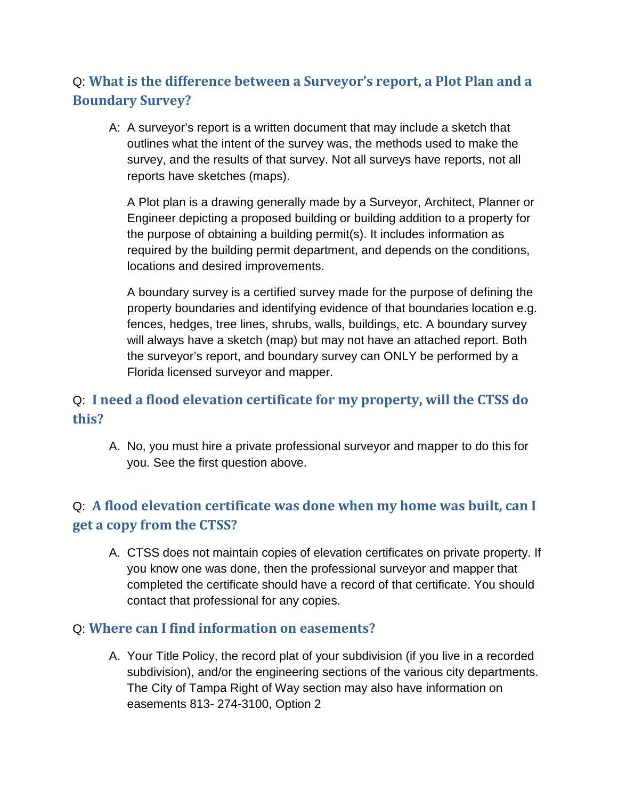# Q: **What is the difference between a Surveyor's report, a Plot Plan and a Boundary Survey?**

A: A surveyor's report is a written document that may include a sketch that outlines what the intent of the survey was, the methods used to make the survey, and the results of that survey. Not all surveys have reports, not all reports have sketches (maps).

A Plot plan is a drawing generally made by a Surveyor, Architect, Planner or Engineer depicting a proposed building or building addition to a property for the purpose of obtaining a building permit(s). It includes information as required by the building permit department, and depends on the conditions, locations and desired improvements.

A boundary survey is a certified survey made for the purpose of defining the property boundaries and identifying evidence of that boundaries location e.g. fences, hedges, tree lines, shrubs, walls, buildings, etc. A boundary survey will always have a sketch (map) but may not have an attached report. Both the surveyor's report, and boundary survey can ONLY be performed by a Florida licensed surveyor and mapper.

## Q: **I need a flood elevation certificate for my property, will the CTSS do this?**

A. No, you must hire a private professional surveyor and mapper to do this for you. See the first question above.

# Q: **A flood elevation certificate was done when my home was built, can I get a copy from the CTSS?**

A. CTSS does not maintain copies of elevation certificates on private property. If you know one was done, then the professional surveyor and mapper that completed the certificate should have a record of that certificate. You should contact that professional for any copies.

#### Q: **Where can I find information on easements?**

A. Your Title Policy, the record plat of your subdivision (if you live in a recorded subdivision), and/or the engineering sections of the various city departments. The City of Tampa Right of Way section may also have information on easements 813- 274-3100, Option 2